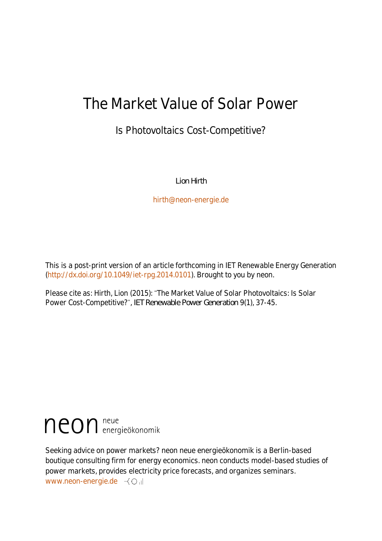## The Market Value of Solar Power

### Is Photovoltaics Cost-Competitive?

*Lion Hirth*

[hirth@neon-energie.de](mailto:hirth@neon-energie.de)

This is a post-print version of an article forthcoming in IET Renewable Energy Generation (http://dx.doi.org/10.1049/iet-rpg.2014.0101). Brought to you by neon.

Please cite as: Hirth, Lion (2015): The Market Value of Solar Photovoltaics: Is Solar Power Cost-Competitive?", *IET Renewable Power Generation* 9(1), 37-45.

# neon neue

Seeking advice on power markets? neon neue energieökonomik is a Berlin-based boutique consulting firm for energy economics. neon conducts model-based studies of power markets, provides electricity price forecasts, and organizes seminars. [www.neon-energie.de](file:///C:/Users/M_S/Documents/www.neon-energie.de)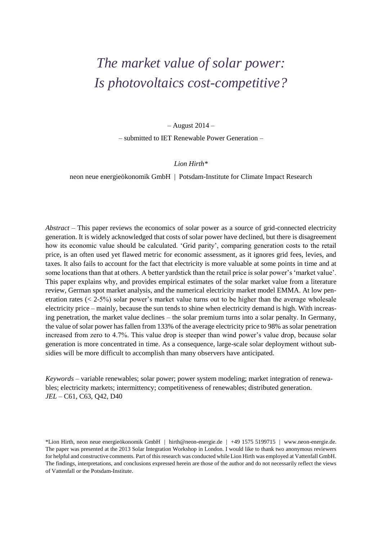## *The market value of solar power: Is photovoltaics cost-competitive?*

– August 2014 –

– submitted to IET Renewable Power Generation –

#### *Lion Hirth\**

neon neue energieökonomik GmbH | Potsdam-Institute for Climate Impact Research

*Abstract* – This paper reviews the economics of solar power as a source of grid-connected electricity generation. It is widely acknowledged that costs of solar power have declined, but there is disagreement how its economic value should be calculated. 'Grid parity', comparing generation costs to the retail price, is an often used yet flawed metric for economic assessment, as it ignores grid fees, levies, and taxes. It also fails to account for the fact that electricity is more valuable at some points in time and at some locations than that at others. A better yardstick than the retail price is solar power's 'market value'. This paper explains why, and provides empirical estimates of the solar market value from a literature review, German spot market analysis, and the numerical electricity market model EMMA. At low penetration rates (< 2-5%) solar power's market value turns out to be higher than the average wholesale electricity price – mainly, because the sun tends to shine when electricity demand is high. With increasing penetration, the market value declines – the solar premium turns into a solar penalty. In Germany, the value of solar power has fallen from 133% of the average electricity price to 98% as solar penetration increased from zero to 4.7%. This value drop is steeper than wind power's value drop, because solar generation is more concentrated in time. As a consequence, large-scale solar deployment without subsidies will be more difficult to accomplish than many observers have anticipated.

*Keywords* – variable renewables; solar power; power system modeling; market integration of renewables; electricity markets; intermittency; competitiveness of renewables; distributed generation. *JEL –* C61, C63, Q42, D40

\*Lion Hirth, neon neue energieökonomik GmbH | hirth@neon-energie.de | +49 1575 5199715 | www.neon-energie.de. The paper was presented at the 2013 Solar Integration Workshop in London. I would like to thank two anonymous reviewers for helpful and constructive comments. Part of this research was conducted while Lion Hirth was employed at Vattenfall GmbH. The findings, interpretations, and conclusions expressed herein are those of the author and do not necessarily reflect the views of Vattenfall or the Potsdam-Institute.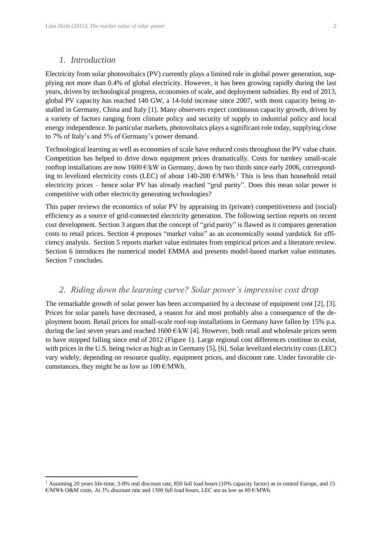$\overline{a}$ 

Electricity from solar photovoltaics (PV) currently plays a limited role in global power generation, supplying not more than 0.4% of global electricity. However, it has been growing rapidly during the last years, driven by technological progress, economies of scale, and deployment subsidies. By end of 2013, global PV capacity has reached 140 GW, a 14-fold increase since 2007, with most capacity being installed in Germany, China and Italy [1]. Many observers expect continuous capacity growth, driven by a variety of factors ranging from climate policy and security of supply to industrial policy and local energy independence. In particular markets, photovoltaics plays a significant role today, supplying close to 7% of Italy's and 5% of Germany's power demand.

Technological learning as well as economies of scale have reduced costs throughout the PV value chain. Competition has helped to drive down equipment prices dramatically. Costs for turnkey small-scale rooftop installations are now 1600 €/kW in Germany, down by two thirds since early 2006, corresponding to levelized electricity costs (LEC) of about 140-200  $\epsilon/MWh$ .<sup>1</sup> This is less than household retail electricity prices – hence solar PV has already reached "grid parity". Does this mean solar power is competitive with other electricity generating technologies?

This paper reviews the economics of solar PV by appraising its (private) competitiveness and (social) efficiency as a source of grid-connected electricity generation. The following section reports on recent cost development. Section 3 argues that the concept of "grid parity" is flawed as it compares generation costs to retail prices. Section 4 proposes "market value" as an economically sound yardstick for efficiency analysis. Section 5 reports market value estimates from empirical prices and a literature review. Section 6 introduces the numerical model EMMA and presents model-based market value estimates. Section 7 concludes.

#### *2. Riding down the learning curve? Solar power's impressive cost drop*

The remarkable growth of solar power has been accompanied by a decrease of equipment cost [2], [3]. Prices for solar panels have decreased, a reason for and most probably also a consequence of the deployment boom. Retail prices for small-scale roof-top installations in Germany have fallen by 15% p.a. during the last seven years and reached 1600  $\epsilon$ /kW [4]. However, both retail and wholesale prices seem to have stopped falling since end of 2012 [\(Figure 1\)](#page-3-0). Large regional cost differences continue to exist, with prices in the U.S. being twice as high as in Germany [5], [6]. Solar levelized electricity costs (LEC) vary widely, depending on resource quality, equipment prices, and discount rate. Under favorable circumstances, they might be as low as  $100 \text{ E/MWh}$ .

<sup>&</sup>lt;sup>1</sup> Assuming 20 years life-time, 3-8% real discount rate, 850 full load hours (10% capacity factor) as in central Europe, and 15  $\epsilon$ /MWh O&M costs. At 3% discount rate and 1500 full load hours, LEC are as low as 80  $\epsilon$ /MWh.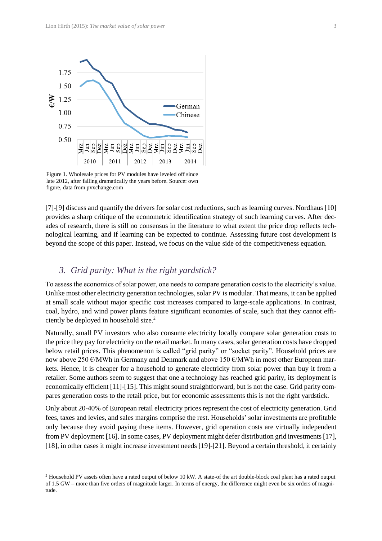

<span id="page-3-0"></span>Figure 1. Wholesale prices for PV modules have leveled off since late 2012, after falling dramatically the years before. Source: own figure, data from pvxchange.com

[7]-[9] discuss and quantify the drivers for solar cost reductions, such as learning curves. Nordhaus [10] provides a sharp critique of the econometric identification strategy of such learning curves. After decades of research, there is still no consensus in the literature to what extent the price drop reflects technological learning, and if learning can be expected to continue. Assessing future cost development is beyond the scope of this paper. Instead, we focus on the value side of the competitiveness equation.

#### *3. Grid parity: What is the right yardstick?*

 $\overline{a}$ 

To assess the economics of solar power, one needs to compare generation costs to the electricity's value. Unlike most other electricity generation technologies, solar PV is modular. That means, it can be applied at small scale without major specific cost increases compared to large-scale applications. In contrast, coal, hydro, and wind power plants feature significant economies of scale, such that they cannot efficiently be deployed in household size. 2

Naturally, small PV investors who also consume electricity locally compare solar generation costs to the price they pay for electricity on the retail market. In many cases, solar generation costs have dropped below retail prices. This phenomenon is called "grid parity" or "socket parity". Household prices are now above 250 €/MWh in Germany and Denmark and above 150 €/MWh in most other European markets. Hence, it is cheaper for a household to generate electricity from solar power than buy it from a retailer. Some authors seem to suggest that one a technology has reached grid parity, its deployment is economically efficient [11]-[15]. This might sound straightforward, but is not the case. Grid parity compares generation costs to the retail price, but for economic assessments this is not the right yardstick.

Only about 20-40% of European retail electricity prices represent the cost of electricity generation. Grid fees, taxes and levies, and sales margins comprise the rest. Households' solar investments are profitable only because they avoid paying these items. However, grid operation costs are virtually independent from PV deployment [16]. In some cases, PV deployment might defer distribution grid investments [17], [18], in other cases it might increase investment needs [19]-[21]. Beyond a certain threshold, it certainly

<sup>2</sup> Household PV assets often have a rated output of below 10 kW. A state-of the art double-block coal plant has a rated output of 1.5 GW – more than five orders of magnitude larger. In terms of energy, the difference might even be six orders of magnitude.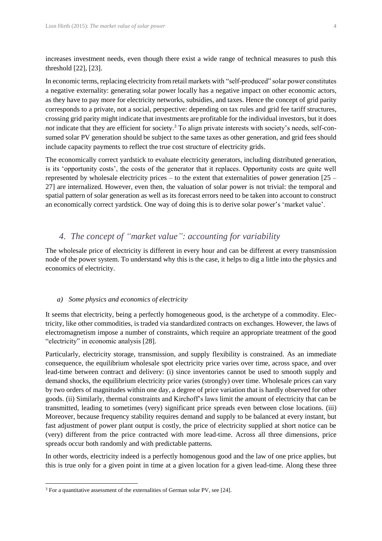increases investment needs, even though there exist a wide range of technical measures to push this threshold [22], [23].

In economic terms, replacing electricity from retail markets with "self-produced" solar power constitutes a negative externality: generating solar power locally has a negative impact on other economic actors, as they have to pay more for electricity networks, subsidies, and taxes. Hence the concept of grid parity corresponds to a private, not a social, perspective: depending on tax rules and grid fee tariff structures, crossing grid parity might indicate that investments are profitable for the individual investors, but it does *not* indicate that they are efficient for society.<sup>3</sup> To align private interests with society's needs, self-consumed solar PV generation should be subject to the same taxes as other generation, and grid fees should include capacity payments to reflect the true cost structure of electricity grids.

The economically correct yardstick to evaluate electricity generators, including distributed generation, is its 'opportunity costs', the costs of the generator that it replaces. Opportunity costs are quite well represented by wholesale electricity prices – to the extent that externalities of power generation  $[25 -$ 27] are internalized. However, even then, the valuation of solar power is not trivial: the temporal and spatial pattern of solar generation as well as its forecast errors need to be taken into account to construct an economically correct yardstick. One way of doing this is to derive solar power's 'market value'.

#### *4. The concept of "market value": accounting for variability*

The wholesale price of electricity is different in every hour and can be different at every transmission node of the power system. To understand why this is the case, it helps to dig a little into the physics and economics of electricity.

#### *a) Some physics and economics of electricity*

It seems that electricity, being a perfectly homogeneous good, is the archetype of a commodity. Electricity, like other commodities, is traded via standardized contracts on exchanges. However, the laws of electromagnetism impose a number of constraints, which require an appropriate treatment of the good "electricity" in economic analysis [28].

Particularly, electricity storage, transmission, and supply flexibility is constrained. As an immediate consequence, the equilibrium wholesale spot electricity price varies over time, across space, and over lead-time between contract and delivery: (i) since inventories cannot be used to smooth supply and demand shocks, the equilibrium electricity price varies (strongly) over time. Wholesale prices can vary by two orders of magnitudes within one day, a degree of price variation that is hardly observed for other goods. (ii) Similarly, thermal constraints and Kirchoff's laws limit the amount of electricity that can be transmitted, leading to sometimes (very) significant price spreads even between close locations. (iii) Moreover, because frequency stability requires demand and supply to be balanced at every instant, but fast adjustment of power plant output is costly, the price of electricity supplied at short notice can be (very) different from the price contracted with more lead-time. Across all three dimensions, price spreads occur both randomly and with predictable patterns.

In other words, electricity indeed is a perfectly homogenous good and the law of one price applies, but this is true only for a given point in time at a given location for a given lead-time. Along these three

 $\overline{\phantom{a}}$ 

<sup>&</sup>lt;sup>3</sup> For a quantitative assessment of the externalities of German solar PV, see [24].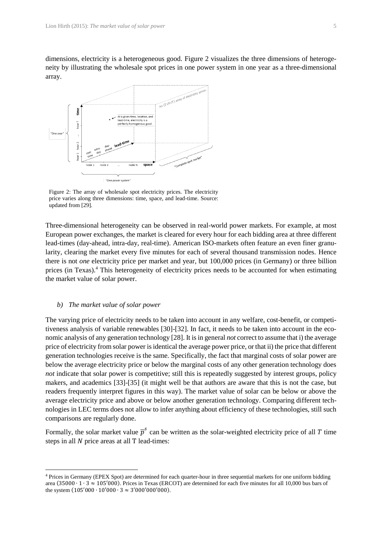dimensions, electricity is a heterogeneous good. [Figure 2](#page-5-0) visualizes the three dimensions of heterogeneity by illustrating the wholesale spot prices in one power system in one year as a three-dimensional array.



<span id="page-5-0"></span>Figure 2: The array of wholesale spot electricity prices. The electricity price varies along three dimensions: time, space, and lead-time. Source: updated from [29].

Three-dimensional heterogeneity can be observed in real-world power markets. For example, at most European power exchanges, the market is cleared for every hour for each bidding area at three different lead-times (day-ahead, intra-day, real-time). American ISO-markets often feature an even finer granularity, clearing the market every five minutes for each of several thousand transmission nodes. Hence there is not *one* electricity price per market and year, but 100,000 prices (in Germany) or three billion prices (in Texas).<sup>4</sup> This heterogeneity of electricity prices needs to be accounted for when estimating the market value of solar power.

#### *b) The market value of solar power*

l

The varying price of electricity needs to be taken into account in any welfare, cost-benefit, or competitiveness analysis of variable renewables [30]-[32]. In fact, it needs to be taken into account in the economic analysis of any generation technology [28]. It is in general *not* correct to assume that i) the average price of electricity from solar power is identical the average power price, or that ii) the price that different generation technologies receive is the same. Specifically, the fact that marginal costs of solar power are below the average electricity price or below the marginal costs of any other generation technology does *not* indicate that solar power is competitive; still this is repeatedly suggested by interest groups, policy makers, and academics [33]-[35] (it might well be that authors are aware that this is not the case, but readers frequently interpret figures in this way). The market value of solar can be below or above the average electricity price and above or below another generation technology. Comparing different technologies in LEC terms does not allow to infer anything about efficiency of these technologies, still such comparisons are regularly done.

Formally, the solar market value  $\bar{p}^s$  can be written as the solar-weighted electricity price of all T time steps in all  $N$  price areas at all T lead-times:

<sup>4</sup> Prices in Germany (EPEX Spot) are determined for each quarter-hour in three sequential markets for one uniform bidding area (35000 ∙ 1 ∙ 3 ≈ 105′000). Prices in Texas (ERCOT) are determined for each five minutes for all 10,000 bus bars of the system  $(105'000 \cdot 10'000 \cdot 3 \approx 3'000'000'000)$ .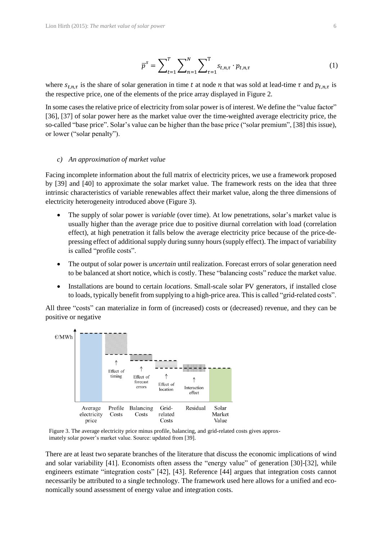$$
\overline{p}^s = \sum_{t=1}^T \sum_{n=1}^N \sum_{\tau=1}^T s_{t,n,\tau} \cdot p_{t,n,\tau}
$$
(1)

where  $s_{t,n,\tau}$  is the share of solar generation in time t at node n that was sold at lead-time  $\tau$  and  $p_{t,n,\tau}$  is the respective price, one of the elements of the price array displayed in [Figure 2.](#page-5-0)

In some cases the relative price of electricity from solar power is of interest. We define the "value factor" [36], [37] of solar power here as the market value over the time-weighted average electricity price, the so-called "base price". Solar's value can be higher than the base price ("solar premium", [38] this issue), or lower ("solar penalty").

#### *c) An approximation of market value*

Facing incomplete information about the full matrix of electricity prices, we use a framework proposed by [39] and [40] to approximate the solar market value. The framework rests on the idea that three intrinsic characteristics of variable renewables affect their market value, along the three dimensions of electricity heterogeneity introduced above [\(Figure 3\)](#page-6-0).

- The supply of solar power is *variable* (over time). At low penetrations, solar's market value is usually higher than the average price due to positive diurnal correlation with load (correlation effect), at high penetration it falls below the average electricity price because of the price-depressing effect of additional supply during sunny hours (supply effect). The impact of variability is called "profile costs".
- The output of solar power is *uncertain* until realization. Forecast errors of solar generation need to be balanced at short notice, which is costly. These "balancing costs" reduce the market value.
- Installations are bound to certain *locations*. Small-scale solar PV generators, if installed close to loads, typically benefit from supplying to a high-price area. This is called "grid-related costs".

All three "costs" can materialize in form of (increased) costs or (decreased) revenue, and they can be positive or negative



<span id="page-6-0"></span>Figure 3. The average electricity price minus profile, balancing, and grid-related costs gives approximately solar power's market value. Source: updated from [39].

There are at least two separate branches of the literature that discuss the economic implications of wind and solar variability [41]. Economists often assess the "energy value" of generation [30]-[32], while engineers estimate "integration costs" [42], [43]. Reference [44] argues that integration costs cannot necessarily be attributed to a single technology. The framework used here allows for a unified and economically sound assessment of energy value and integration costs.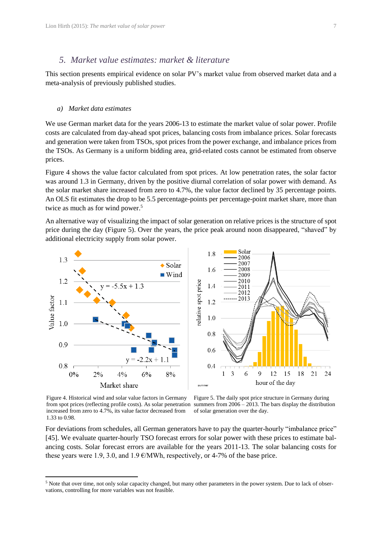#### *5. Market value estimates: market & literature*

This section presents empirical evidence on solar PV's market value from observed market data and a meta-analysis of previously published studies.

#### *a) Market data estimates*

We use German market data for the years 2006-13 to estimate the market value of solar power. Profile costs are calculated from day-ahead spot prices, balancing costs from imbalance prices. Solar forecasts and generation were taken from TSOs, spot prices from the power exchange, and imbalance prices from the TSOs. As Germany is a uniform bidding area, grid-related costs cannot be estimated from observe prices.

[Figure 4](#page-7-0) shows the value factor calculated from spot prices. At low penetration rates, the solar factor was around 1.3 in Germany, driven by the positive diurnal correlation of solar power with demand. As the solar market share increased from zero to 4.7%, the value factor declined by 35 percentage points. An OLS fit estimates the drop to be 5.5 percentage-points per percentage-point market share, more than twice as much as for wind power.<sup>5</sup>

An alternative way of visualizing the impact of solar generation on relative prices is the structure of spot price during the day [\(Figure 5\)](#page-7-1). Over the years, the price peak around noon disappeared, "shaved" by additional electricity supply from solar power.



<span id="page-7-0"></span>Figure 4. Historical wind and solar value factors in Germany from spot prices (reflecting profile costs). As solar penetration summers from 2006 – 2013. The bars display the distribution increased from zero to 4.7%, its value factor decreased from 1.33 to 0.98.

 $\overline{a}$ 

<span id="page-7-1"></span>Figure 5. The daily spot price structure in Germany during of solar generation over the day.

For deviations from schedules, all German generators have to pay the quarter-hourly "imbalance price" [45]. We evaluate quarter-hourly TSO forecast errors for solar power with these prices to estimate balancing costs. Solar forecast errors are available for the years 2011-13. The solar balancing costs for these years were 1.9, 3.0, and 1.9  $\epsilon$ /MWh, respectively, or 4-7% of the base price.

<sup>&</sup>lt;sup>5</sup> Note that over time, not only solar capacity changed, but many other parameters in the power system. Due to lack of observations, controlling for more variables was not feasible.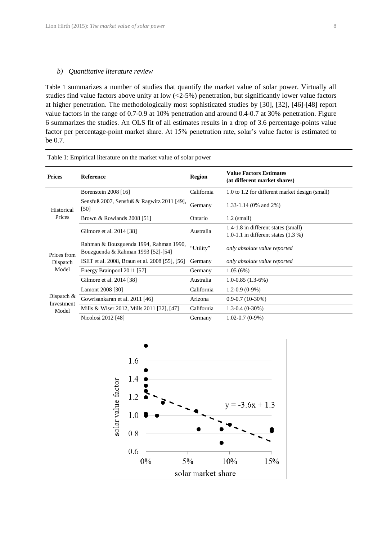#### *b) Quantitative literature review*

[Table 1](#page-8-0) summarizes a number of studies that quantify the market value of solar power. Virtually all studies find value factors above unity at low  $\left($  <2-5%) penetration, but significantly lower value factors at higher penetration. The methodologically most sophisticated studies by [30], [32], [46]-[48] report value factors in the range of 0.7-0.9 at 10% penetration and around 0.4-0.7 at 30% penetration. [Figure](#page-9-0)  [6](#page-9-0) summarizes the studies. An OLS fit of all estimates results in a drop of 3.6 percentage-points value factor per percentage-point market share. At 15% penetration rate, solar's value factor is estimated to be 0.7.

| <b>Prices</b>                       | <b>Reference</b>                                                             | <b>Region</b> | <b>Value Factors Estimates</b><br>(at different market shares) |
|-------------------------------------|------------------------------------------------------------------------------|---------------|----------------------------------------------------------------|
| Historical<br>Prices                | Borenstein 2008 [16]                                                         | California    | 1.0 to 1.2 for different market design (small)                 |
|                                     | Sensfuß 2007, Sensfuß & Ragwitz 2011 [49],<br>[50]                           | Germany       | 1.33-1.14 (0% and 2%)                                          |
|                                     | Brown & Rowlands $2008$ [51]                                                 | Ontario       | $1.2$ (small)                                                  |
|                                     | Gilmore et al. 2014 [38]                                                     | Australia     | 1.4-1.8 in different states (small)                            |
|                                     |                                                                              |               | 1.0-1.1 in different states $(1.3\%)$                          |
| Prices from<br>Dispatch<br>Model    | Rahman & Bouzguenda 1994, Rahman 1990,<br>Bouzguenda & Rahman 1993 [52]-[54] | "Utility"     | only absolute value reported                                   |
|                                     | ISET et al. 2008, Braun et al. 2008 [55], [56]                               | Germany       | only absolute value reported                                   |
|                                     | Energy Brainpool 2011 [57]                                                   | Germany       | 1.05(6%)                                                       |
|                                     | Gilmore et al. 2014 [38]                                                     | Australia     | $1.0 - 0.85(1.3 - 6%)$                                         |
| Dispatch $&$<br>Investment<br>Model | Lamont 2008 [30]                                                             | California    | $1.2 - 0.9(0 - 9\%)$                                           |
|                                     | Gowrisankaran et al. 2011 [46]                                               | Arizona       | $0.9 - 0.7(10 - 30\%)$                                         |
|                                     | Mills & Wiser 2012, Mills 2011 [32], [47]                                    | California    | $1.3 - 0.4$ (0-30%)                                            |
|                                     | Nicolosi 2012 [48]                                                           | Germany       | $1.02 - 0.7(0-9%)$                                             |
|                                     |                                                                              |               |                                                                |

<span id="page-8-0"></span>Table 1: Empirical literature on the market value of solar power

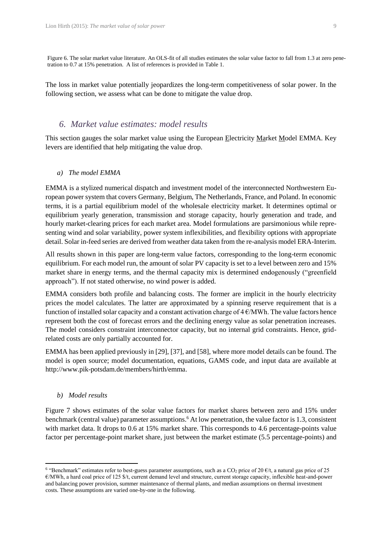<span id="page-9-0"></span>Figure 6. The solar market value literature. An OLS-fit of all studies estimates the solar value factor to fall from 1.3 at zero penetration to 0.7 at 15% penetration. A list of references is provided i[n Table 1.](#page-8-0)

The loss in market value potentially jeopardizes the long-term competitiveness of solar power. In the following section, we assess what can be done to mitigate the value drop.

#### *6. Market value estimates: model results*

This section gauges the solar market value using the European Electricity Market Model EMMA. Key levers are identified that help mitigating the value drop.

#### *a) The model EMMA*

EMMA is a stylized numerical dispatch and investment model of the interconnected Northwestern European power system that covers Germany, Belgium, The Netherlands, France, and Poland. In economic terms, it is a partial equilibrium model of the wholesale electricity market. It determines optimal or equilibrium yearly generation, transmission and storage capacity, hourly generation and trade, and hourly market-clearing prices for each market area. Model formulations are parsimonious while representing wind and solar variability, power system inflexibilities, and flexibility options with appropriate detail. Solar in-feed series are derived from weather data taken from the re-analysis model ERA-Interim.

All results shown in this paper are long-term value factors, corresponding to the long-term economic equilibrium. For each model run, the amount of solar PV capacity is set to a level between zero and 15% market share in energy terms, and the thermal capacity mix is determined endogenously ("greenfield approach"). If not stated otherwise, no wind power is added.

EMMA considers both profile and balancing costs. The former are implicit in the hourly electricity prices the model calculates. The latter are approximated by a spinning reserve requirement that is a function of installed solar capacity and a constant activation charge of  $4 \text{ }\epsilon/\text{MWh}$ . The value factors hence represent both the cost of forecast errors and the declining energy value as solar penetration increases. The model considers constraint interconnector capacity, but no internal grid constraints. Hence, gridrelated costs are only partially accounted for.

EMMA has been applied previously in [29], [37], and [58], where more model details can be found. The model is open source; model documentation, equations, GAMS code, and input data are available at http://www.pik-potsdam.de/members/hirth/emma.

#### *b) Model results*

 $\overline{\phantom{a}}$ 

[Figure 7](#page-10-0) shows estimates of the solar value factors for market shares between zero and 15% under benchmark (central value) parameter assumptions. <sup>6</sup> At low penetration, the value factor is 1.3, consistent with market data. It drops to 0.6 at 15% market share. This corresponds to 4.6 percentage-points value factor per percentage-point market share, just between the market estimate (5.5 percentage-points) and

<sup>&</sup>lt;sup>6</sup> "Benchmark" estimates refer to best-guess parameter assumptions, such as a CO<sub>2</sub> price of 20  $\epsilon/t$ , a natural gas price of 25  $\epsilon$ /MWh, a hard coal price of 125 \$/t, current demand level and structure, current storage capacity, inflexible heat-and-power and balancing power provision, summer maintenance of thermal plants, and median assumptions on thermal investment costs. These assumptions are varied one-by-one in the following.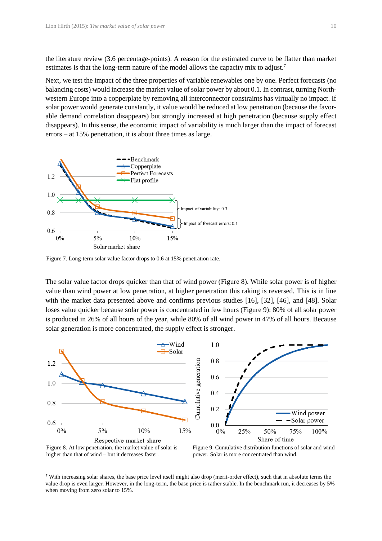the literature review (3.6 percentage-points). A reason for the estimated curve to be flatter than market estimates is that the long-term nature of the model allows the capacity mix to adjust.<sup>7</sup>

Next, we test the impact of the three properties of variable renewables one by one. Perfect forecasts (no balancing costs) would increase the market value of solar power by about 0.1. In contrast, turning Northwestern Europe into a copperplate by removing all interconnector constraints has virtually no impact. If solar power would generate constantly, it value would be reduced at low penetration (because the favorable demand correlation disappears) but strongly increased at high penetration (because supply effect disappears). In this sense, the economic impact of variability is much larger than the impact of forecast errors – at 15% penetration, it is about three times as large.



<span id="page-10-0"></span>Figure 7. Long-term solar value factor drops to 0.6 at 15% penetration rate.

The solar value factor drops quicker than that of wind power [\(Figure 8\)](#page-10-1). While solar power is of higher value than wind power at low penetration, at higher penetration this raking is reversed. This is in line with the market data presented above and confirms previous studies [16], [32], [46], and [48]. Solar loses value quicker because solar power is concentrated in few hours [\(Figure 9\)](#page-10-2): 80% of all solar power is produced in 26% of all hours of the year, while 80% of all wind power in 47% of all hours. Because solar generation is more concentrated, the supply effect is stronger.



<span id="page-10-1"></span>higher than that of wind – but it decreases faster.

 $\overline{a}$ 

<span id="page-10-2"></span>power. Solar is more concentrated than wind.

<sup>7</sup> With increasing solar shares, the base price level itself might also drop (merit-order effect), such that in absolute terms the value drop is even larger. However, in the long-term, the base price is rather stable. In the benchmark run, it decreases by 5% when moving from zero solar to 15%.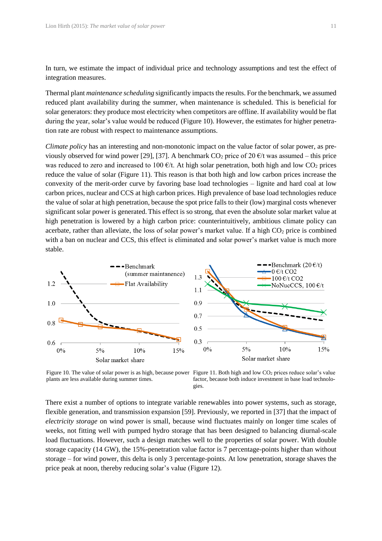In turn, we estimate the impact of individual price and technology assumptions and test the effect of integration measures.

Thermal plant *maintenance scheduling* significantly impactsthe results. For the benchmark, we assumed reduced plant availability during the summer, when maintenance is scheduled. This is beneficial for solar generators: they produce most electricity when competitors are offline. If availability would be flat during the year, solar's value would be reduced [\(Figure 10\)](#page-11-0). However, the estimates for higher penetration rate are robust with respect to maintenance assumptions.

*Climate policy* has an interesting and non-monotonic impact on the value factor of solar power, as previously observed for wind power [29], [37]. A benchmark  $CO_2$  price of 20  $\epsilon$ /t was assumed – this price was reduced to zero and increased to 100  $\epsilon/t$ . At high solar penetration, both high and low CO<sub>2</sub> prices reduce the value of solar [\(Figure 11\)](#page-11-1). This reason is that both high and low carbon prices increase the convexity of the merit-order curve by favoring base load technologies – lignite and hard coal at low carbon prices, nuclear and CCS at high carbon prices. High prevalence of base load technologies reduce the value of solar at high penetration, because the spot price falls to their (low) marginal costs whenever significant solar power is generated. This effect is so strong, that even the absolute solar market value at high penetration is lowered by a high carbon price: counterintuitively, ambitious climate policy can acerbate, rather than alleviate, the loss of solar power's market value. If a high  $CO<sub>2</sub>$  price is combined with a ban on nuclear and CCS, this effect is eliminated and solar power's market value is much more stable.



<span id="page-11-0"></span>Figure 10. The value of solar power is as high, because power Figure 11. Both high and low CO<sub>2</sub> prices reduce solar's value plants are less available during summer times.

<span id="page-11-1"></span>factor, because both induce investment in base load technologies.

There exist a number of options to integrate variable renewables into power systems, such as storage, flexible generation, and transmission expansion [59]. Previously, we reported in [37] that the impact of *electricity storage* on wind power is small, because wind fluctuates mainly on longer time scales of weeks, not fitting well with pumped hydro storage that has been designed to balancing diurnal-scale load fluctuations. However, such a design matches well to the properties of solar power. With double storage capacity (14 GW), the 15%-penetration value factor is 7 percentage-points higher than without storage – for wind power, this delta is only 3 percentage-points. At low penetration, storage shaves the price peak at noon, thereby reducing solar's value [\(Figure 12\)](#page-12-0).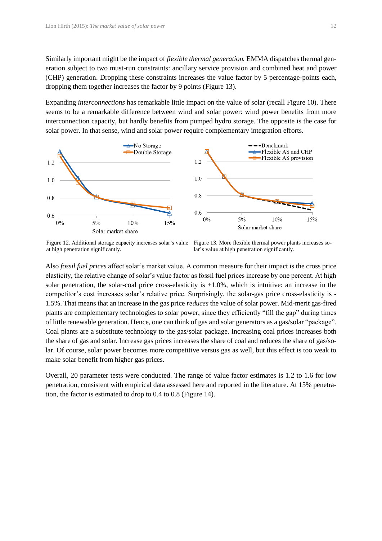Similarly important might be the impact of *flexible thermal generation.* EMMA dispatches thermal generation subject to two must-run constraints: ancillary service provision and combined heat and power (CHP) generation. Dropping these constraints increases the value factor by 5 percentage-points each, dropping them together increases the factor by 9 points [\(Figure 13\)](#page-12-1).

Expanding *interconnections* has remarkable little impact on the value of solar (recall [Figure 10\)](#page-11-0). There seems to be a remarkable difference between wind and solar power: wind power benefits from more interconnection capacity, but hardly benefits from pumped hydro storage. The opposite is the case for solar power. In that sense, wind and solar power require complementary integration efforts.



<span id="page-12-0"></span>Figure 12. Additional storage capacity increases solar's value at high penetration significantly.

<span id="page-12-1"></span>Figure 13. More flexible thermal power plants increases solar's value at high penetration significantly.

Also *fossil fuel prices* affect solar's market value. A common measure for their impact is the cross price elasticity, the relative change of solar's value factor as fossil fuel prices increase by one percent. At high solar penetration, the solar-coal price cross-elasticity is  $+1.0\%$ , which is intuitive: an increase in the competitor's cost increases solar's relative price. Surprisingly, the solar-gas price cross-elasticity is - 1.5%. That means that an increase in the gas price *reduces* the value of solar power. Mid-merit gas-fired plants are complementary technologies to solar power, since they efficiently "fill the gap" during times of little renewable generation. Hence, one can think of gas and solar generators as a gas/solar "package". Coal plants are a substitute technology to the gas/solar package. Increasing coal prices increases both the share of gas and solar. Increase gas prices increases the share of coal and reduces the share of gas/solar. Of course, solar power becomes more competitive versus gas as well, but this effect is too weak to make solar benefit from higher gas prices.

Overall, 20 parameter tests were conducted. The range of value factor estimates is 1.2 to 1.6 for low penetration, consistent with empirical data assessed here and reported in the literature. At 15% penetration, the factor is estimated to drop to 0.4 to 0.8 [\(Figure 14\)](#page-13-0).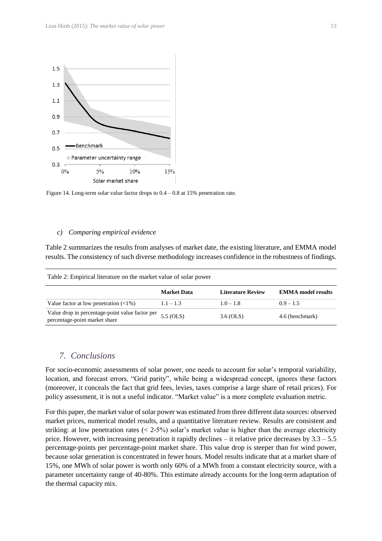

<span id="page-13-0"></span>Figure 14. Long-term solar value factor drops to 0.4 – 0.8 at 15% penetration rate.

Table 2: Empirical literature on the market value of solar power

#### *c) Comparing empirical evidence*

Table 2 summarizes the results from analyses of market date, the existing literature, and EMMA model results. The consistency of such diverse methodology increases confidence in the robustness of findings.

|                                                                                  | <b>Market Data</b> | <b>Literature Review</b> | <b>EMMA</b> model results |
|----------------------------------------------------------------------------------|--------------------|--------------------------|---------------------------|
| Value factor at low penetration $(\langle 1\% \rangle)$                          | $1.1 - 1.3$        | $1.0 - 1.8$              | $0.9 - 1.5$               |
| Value drop in percentage-point value factor per<br>percentage-point market share | $5.5$ (OLS)        | 3.6 (OLS)                | 4.6 (benchmark)           |

#### *7. Conclusions*

For socio-economic assessments of solar power, one needs to account for solar's temporal variability, location, and forecast errors. "Grid parity", while being a widespread concept, ignores these factors (moreover, it conceals the fact that grid fees, levies, taxes comprise a large share of retail prices). For policy assessment, it is not a useful indicator. "Market value" is a more complete evaluation metric.

For this paper, the market value of solar power was estimated from three different data sources: observed market prices, numerical model results, and a quantitative literature review. Results are consistent and striking: at low penetration rates  $( $2.5\%$ ) solar's market value is higher than the average electricity$ price. However, with increasing penetration it rapidly declines – it relative price decreases by 3.3 – 5.5 percentage-points per percentage-point market share. This value drop is steeper than for wind power, because solar generation is concentrated in fewer hours. Model results indicate that at a market share of 15%, one MWh of solar power is worth only 60% of a MWh from a constant electricity source, with a parameter uncertainty range of 40-80%. This estimate already accounts for the long-term adaptation of the thermal capacity mix.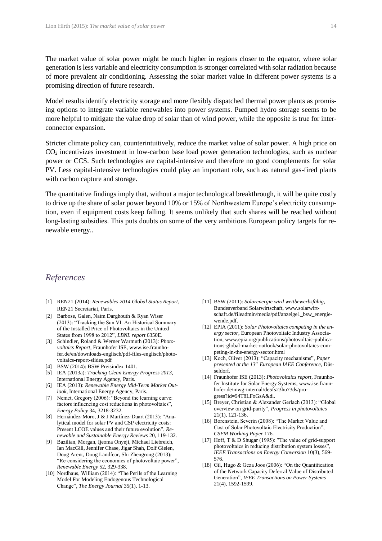The market value of solar power might be much higher in regions closer to the equator, where solar generation is less variable and electricity consumption is stronger correlated with solar radiation because of more prevalent air conditioning. Assessing the solar market value in different power systems is a promising direction of future research.

Model results identify electricity storage and more flexibly dispatched thermal power plants as promising options to integrate variable renewables into power systems. Pumped hydro storage seems to be more helpful to mitigate the value drop of solar than of wind power, while the opposite is true for interconnector expansion.

Stricter climate policy can, counterintuitively, reduce the market value of solar power. A high price on CO<sup>2</sup> incentivizes investment in low-carbon base load power generation technologies, such as nuclear power or CCS. Such technologies are capital-intensive and therefore no good complements for solar PV. Less capital-intensive technologies could play an important role, such as natural gas-fired plants with carbon capture and storage.

The quantitative findings imply that, without a major technological breakthrough, it will be quite costly to drive up the share of solar power beyond 10% or 15% of Northwestern Europe's electricity consumption, even if equipment costs keep falling. It seems unlikely that such shares will be reached without long-lasting subsidies. This puts doubts on some of the very ambitious European policy targets for renewable energy..

#### *References*

- [1] REN21 (2014): *Renewables 2014 Global Status Report*, REN21 Secretariat, Paris.
- [2] Barbose, Galen, Naïm Darghouth & Ryan Wiser (2013): "Tracking the Sun VI. An Historical Summary of the Installed Price of Photovoltaics in the United States from 1998 to 2012", *LBNL report* 6350E.
- [3] Schindler, Roland & Werner Warmuth (2013): *Photovoltaics Report*, Fraunhofer ISE, www.ise.fraunhofer.de/en/downloads-englisch/pdf-files-englisch/photovoltaics-report-slides.pdf
- [4] BSW (2014): BSW Preisindex 1401.
- [5] IEA (2013a): *Tracking Clean Energy Progress 2013*, International Energy Agency, Paris.
- [6] IEA (2013): *Renewable Energy Mid-Term Market Outlook*, International Energy Agency, Paris.
- [7] Nemet, Gregory (2006): "Beyond the learning curve: factors influencing cost reductions in photovoltaics", *Energy Policy* 34, 3218-3232.
- [8] Hernández-Moro, J & J Martínez-Duart (2013): "Analytical model for solar PV and CSP electricity costs: Present LCOE values and their future evolution", *Renewable and Sustainable Energy Reviews* 20, 119-132.
- [9] Bazilian, Morgan, Ijeoma Onyeji, Michael Liebreich, Ian MacGill, Jennifer Chase, Jigar Shah, Dolf Gielen, Doug Arent, Doug Landfear, Shi Zhengrong (2013): "Re-considering the economics of photovoltaic power", *Renewable Energy* 52, 329-338.
- [10] Nordhaus, William (2014): "The Perils of the Learning Model For Modeling Endogenous Technological Change", *The Energy Journal* 35(1), 1-13.
- [11] BSW (2011): *Solarenergie wird wettbewerbsfähig*, Bundesverband Solarwirtschaft, www.solarwirtschaft.de/fileadmin/media/pdf/anzeige1\_bsw\_energiewende.pdf.
- [12] EPIA (2011): Solar Photovoltaics competing in the en*ergy sector*, European Photovoltaic Industry Association, www.epia.org/publications/photovoltaic-publications-global-market-outlook/solar-photovoltaics-competing-in-the-energy-sector.html
- [13] Koch, Oliver (2013): "Capacity mechanisms", *Paper presented at the 13th European IAEE Conference,* Düsseldorf.
- [14] Fraunhofer ISE (2013): *Photovoltaics report*, Fraunhofer Institute for Solar Energy Systems, www.ise.fraunhofer.de/mwg-internal/de5fs23hu73ds/progress?id=94T8LFoGsA&dl.
- [15] Breyer, Christian & Alexander Gerlach (2013): "Global overview on grid-parity", *Progress in photovoltaics*  21(1), 121-136.
- [16] Borenstein, Severin (2008): "The Market Value and Cost of Solar Photovoltaic Electricity Production", *CSEM Working Paper* 176.
- [17] Hoff, T & D Shugar (1995): "The value of grid-support photovoltaics in reducing distribution system losses" *IEEE Transactions on Energy Conversion* 10(3), 569- 576.
- [18] Gil, Hugo & Geza Joos (2006): "On the Quantification of the Network Capacity Deferral Value of Distributed Generation", *IEEE Transactions on Power Systems* 21(4), 1592-1599.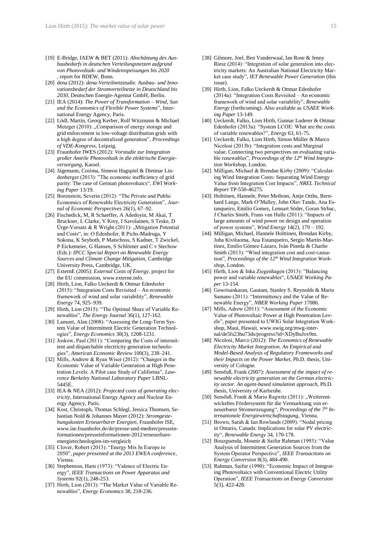- [19] E-Bridge, IAEW & BET (2011): *Abschätzung des Ausbaubedarfs in deutschen Verteilungsnetzen aufgrund von Photovoltaik- und Windeinspeisungen bis 2020* , report for BDEW, Bonn.
- [20] dena (2012): *dena-Verteilnetzstudie. Ausbau- und Innovationsbedarf der Stromverteilnetze in Deutschland bis 2030*, Deutschen Energie-Agentur GmbH, Berlin.
- [21] IEA (2014): *The Power of Transformation – Wind, Sun and the Economics of Flexible Power Systems*", International Energy Agency, Paris.
- [22] Lödl, Martin, Georg Kerber, Rolf Witzmann & Michael Metzger (2010): "Comparison of energy storage and grid enforcement in low-voltage distribution grids with a high degree of decentralized generation", *Proceedings of VDE-Kongress*, Leipzig.
- [23] Fraunhofer IWES (2012): *Vorstudie zur Integration großer Anteile Photovoltaik in die elektrische Energieversorgung*, Kassel.
- [24] Jägemann, Cosima, Simeon Hagspiel & Dietmar Lindenberger (2013): "The economic inefficiency of grid parity: The case of German photovoltaics", *EWI Working Paper* 13/19.
- [25] Borenstein, Severin (2012): "The Private and Public Economics of Renewable Electricity Generation", *Journal of Economic Perspectives* 26(1), 67–92.
- [26] Fischedick, M, R Schaeffer, A Adedoyin, M Akai, T Bruckner, L Clarke, V Krey, I Savolainen, S Teske, D Ürge-Vorsatz & R Wright (2011): "Mitigation Potential and Costs", in: O Edenhofer, R Pichs-Madruga, Y Sokona, K Seyboth, P Matschoss, S Kadner, T Zwickel, P Eickemeier, G Hansen, S Schlömer and C v Stechow (Eds.): *IPCC Special Report on Renewable Energy Sources and Climate Change Mitigation,* Cambridge University Press, Cambridge, UK.
- [27] ExternE (2005): *External Costs of Energy*, project for the EU commission, www.externe.info.
- [28] Hirth, Lion, Falko Ueckerdt & Ottmar Edenhofer (2015): "Integration Costs Revisited – An economic framework of wind and solar variability", *Renewable Energy* 74, 925–939.
- [29] Hirth, Lion (2015): "The Optimal Share of Variable Renewables", *The Energy Journal* 36(1), 127-162.
- [30] Lamont, Alan (2008): "Assessing the Long-Term System Value of Intermittent Electric Generation Technologies", *Energy Economics* 30(3), 1208-1231.
- [31] Joskow, Paul (2011): "Comparing the Costs of intermittent and dispatchable electricity generation technologies", *American Economic Review* 100(3), 238–241.
- [32] Mills, Andrew & Ryan Wiser (2012): "Changes in the Economic Value of Variable Generation at High Penetration Levels: A Pilot case Study of California", *Lawrence Berkeley National Laboratory Paper* LBNL-5445E.
- [33] IEA & NEA (2012): *Projected costs of generating electricity*, International Energy Agency and Nuclear Energy Agency, Paris.
- [34] Kost, Christoph, Thomas Schlegl, Jessica Thomsen, Sebastian Nold & Johannes Mayer (2012): *Stromgestehungskosten Erneuerbarer Energien*, Fraunhofer ISE, www.ise.fraunhofer.de/de/presse-und-medien/presseinformationen/presseinformationen-2012/erneuerbareenergietechnologien-im-vergleich
- [35] Clover, Robert (2013): "Energy Mix In Europe to 2050", *paper presented at the 2013 EWEA conference*, Vienna.
- [36] Stephenson, Hans (1973): "Valence of Electric Energy", *IEEE Transactions on Power Apparatus and Systems* 92(1), 248-253.
- [37] Hirth, Lion (2013): "The Market Value of Variable Renewables", *Energy Economics* 38, 218-236.
- [38] Gilmore, Joel, Ben Vanderwaal, Ian Rose & Jenny Riesz (2014): "Integration of solar generation into electricity markets: An Australian National Electricity Market case study", *IET Renewable Power Generation* (this issue).
- [39] Hirth, Lion, Falko Ueckerdt & Ottmar Edenhofer (2014a): "Integration Costs Revisited – An economic framework of wind and solar variability", *Renewable Energy* (forthcoming). Also available as *USAEE Working Paper* 13-149.
- [40] Ueckerdt, Falko, Lion Hirth, Gunnar Luderer & Ottmar Edenhofer (2013a): "System LCOE: What are the costs of variable renewables?", *Energy* 63, 61-75.
- [41] Ueckerdt, Falko, Lion Hirth, Simon Müller & Marco Nicolosi (2013b): "Integration costs and Marginal value. Connecting two perspectives on evaluating variable renewables", *Proceedings of the 12th Wind Integration Workshop*, London.
- [42] Milligan, Michael & Brendan Kirby (2009): "Calculating Wind Integration Costs: Separating Wind Energy Value from Integration Cost Impacts", *NREL Technical Report* TP-550-46275.
- [43] Holttinen, Hannele, Peter Meibom, Antje Orths, Bernhard Lange, Mark O'Malley, John Olav Tande, Ana Estanqueiro, Emilio Gomez, Lennart Söder, Goran Strbac, J Charles Smith, Frans van Hulle (2011): "Impacts of large amounts of wind power on design and operation of power systems", *Wind Energy* 14(2), 179 – 192.
- [44] Milligan, Michael, Hannele Holttinen, Brendan Kirby, Juha Kiviluoma, Ana Estanqueiro, Sergio Martín-Martínez, Emilio Gómez-Lázaro, Iván Pineda & Charlie Smith (2013): "Wind integration cost and cost-causation", *Proceedings of the 12th Wind Integration Workshop*, London.
- [45] Hirth, Lion & Inka Ziegenhagen (2013): "Balancing power and variable renewables", *USAEE Working Paper* 13-154.
- [46] Gowrisankaran, Gautam, Stanley S. Reynolds & Mario Samano (2011): "Intermittency and the Value of Renewable Energy", *NBER Working Paper* 17086.
- [47] Mills, Adrew (2011): "Assessment of the Economic Value of Photovoltaic Power at High Penetration Levels", paper presented to UWIG Solar Integration Workshop, Maui, Hawaii, www.uwig.org/mwg-internal/de5fs23hu73ds/progress?id=XDyBuJov9m.
- [48] Nicolosi, Marco (2012): *The Economics of Renewable Electricity Market Integration. An Empirical and Model-Based Analysis of Regulatory Frameworks and their Impacts on the Power Market*, Ph.D. thesis, University of Cologne.
- [49] Sensfuß, Frank (2007): *Assessment of the impact of renewable electricity generation on the German electricity sector. An agent-based simulation approach,* Ph.D. thesis, University of Karlsruhe.
- [50] Sensfuß, Frank & Mario Ragwitz  $(2011)$ : "Weiterentwickeltes Fördersystem für die Vermarktung von erneuerbarer Stromerzeugung", *Proceedings of the 7th Internationale Energiewirtschaftstagung*, Vienna.
- [51] Brown, Sarah & Ian Rowlands (2009): "Nodal pricing in Ontario, Canada: Implications for solar PV electricity", *Renewable Energy* 34, 170-178.
- [52] Bouzguenda, Mounir & Saifur Rahman (1993): "Value Analysis of Intermittent Generation Sources from the System Operator Perspective", *IEEE Transactions on Energy Conversion* 8(3), 484-490.
- [53] Rahman, Saifur (1990): "Economic Impact of Integrating Photovoltaics with Conventional Electric Utility Operation", *IEEE Transactions on Energy Conversion*  5(3), 422-428.